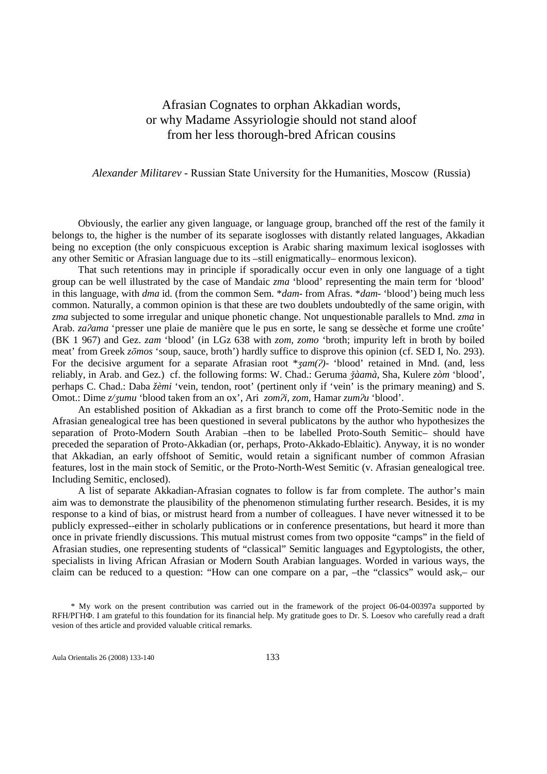# Afrasian Cognates to orphan Akkadian words, or why Madame Assyriologie should not stand aloof from her less thorough-bred African cousins

### *Alexander Militarev* - Russian State University for the Humanities, Moscow (Russia)

Obviously, the earlier any given language, or language group, branched off the rest of the family it belongs to, the higher is the number of its separate isoglosses with distantly related languages, Akkadian being no exception (the only conspicuous exception is Arabic sharing maximum lexical isoglosses with any other Semitic or Afrasian language due to its –still enigmatically– enormous lexicon).

That such retentions may in principle if sporadically occur even in only one language of a tight group can be well illustrated by the case of Mandaic *zma* 'blood' representing the main term for 'blood' in this language, with *dma* id. (from the common Sem. \**dam*- from Afras. \**dam*- 'blood') being much less common. Naturally, a common opinion is that these are two doublets undoubtedly of the same origin, with *zma* subjected to some irregular and unique phonetic change. Not unquestionable parallels to Mnd. *zma* in Arab. *za*ʔ*ama* 'presser une plaie de manière que le pus en sorte, le sang se dessèche et forme une croûte' (BK 1 967) and Gez. *zam* 'blood' (in LGz 638 with *zom, zomo* 'broth; impurity left in broth by boiled meat' from Greek *z*ō*mos* 'soup, sauce, broth') hardly suffice to disprove this opinion (cf. SED I, No. 293). For the decisive argument for a separate Afrasian root \*ʒ*am(*ʔ*)*- 'blood' retained in Mnd. (and, less reliably, in Arab. and Gez.) cf. the following forms: W. Chad.: Geruma ǯ*àamà*, Sha, Kulere *zòm* 'blood', perhaps C. Chad.: Daba *žèmi* 'vein, tendon, root' (pertinent only if 'vein' is the primary meaning) and S. Omot.: Dime *z/*ʒ*umu* 'blood taken from an ox', Ari *zom*ʔ*i, zom*, Hamar *zum*ʔ*u* 'blood'.

An established position of Akkadian as a first branch to come off the Proto-Semitic node in the Afrasian genealogical tree has been questioned in several publicatons by the author who hypothesizes the separation of Proto-Modern South Arabian –then to be labelled Proto-South Semitic– should have preceded the separation of Proto-Akkadian (or, perhaps, Proto-Akkado-Eblaitic). Anyway, it is no wonder that Akkadian, an early offshoot of Semitic, would retain a significant number of common Afrasian features, lost in the main stock of Semitic, or the Proto-North-West Semitic (v. Afrasian genealogical tree. Including Semitic, enclosed).

A list of separate Akkadian-Afrasian cognates to follow is far from complete. The author's main aim was to demonstrate the plausibility of the phenomenon stimulating further research. Besides, it is my response to a kind of bias, or mistrust heard from a number of colleagues. I have never witnessed it to be publicly expressed--either in scholarly publications or in conference presentations, but heard it more than once in private friendly discussions. This mutual mistrust comes from two opposite "camps" in the field of Afrasian studies, one representing students of "classical" Semitic languages and Egyptologists, the other, specialists in living African Afrasian or Modern South Arabian languages. Worded in various ways, the claim can be reduced to a question: "How can one compare on a par, –the "classics" would ask,– our

<sup>\*</sup> My work on the present contribution was carried out in the framework of the project 06-04-00397a supported by RFH/РГНФ. I am grateful to this foundation for its financial help. My gratitude goes to Dr. S. Loesov who carefully read a draft vesion of thes article and provided valuable critical remarks.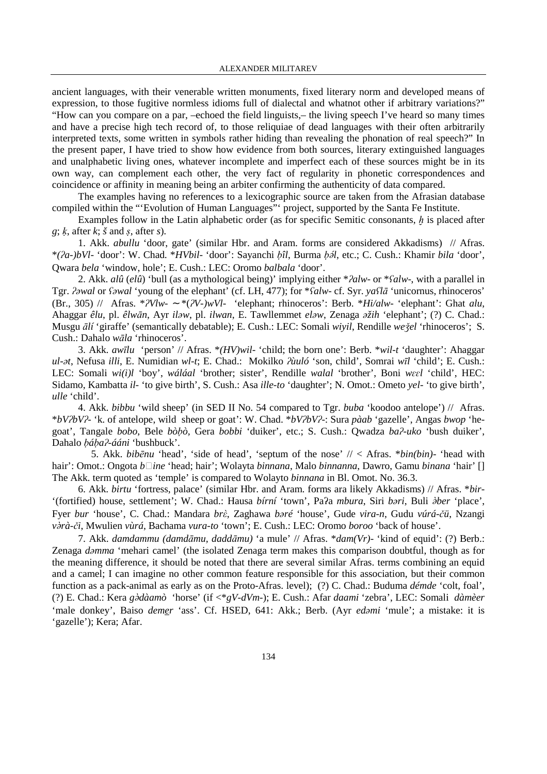ancient languages, with their venerable written monuments, fixed literary norm and developed means of expression, to those fugitive normless idioms full of dialectal and whatnot other if arbitrary variations?" "How can you compare on a par, –echoed the field linguists,– the living speech I've heard so many times and have a precise high tech record of, to those reliquiae of dead languages with their often arbitrarily interpreted texts, some written in symbols rather hiding than revealing the phonation of real speech?" In the present paper, I have tried to show how evidence from both sources, literary extinguished languages and unalphabetic living ones, whatever incomplete and imperfect each of these sources might be in its own way, can complement each other, the very fact of regularity in phonetic correspondences and coincidence or affinity in meaning being an arbiter confirming the authenticity of data compared.

The examples having no references to a lexicographic source are taken from the Afrasian database compiled within the "'Evolution of Human Languages"' project, supported by the Santa Fe Institute.

Examples follow in the Latin alphabetic order (as for specific Semitic consonants,  $h$  is placed after *g*; ḳ, after *k*; *š* and ṣ, after *s*).

1. Akk. *abullu* 'door, gate' (similar Hbr. and Aram. forms are considered Akkadisms) // Afras. \**(*ʔ*a-)bVl-* 'door': W. Chad. \**HVbil*- 'door': Sayanchi ḅ*îl*, Burma ḅ'*l*, etc.; C. Cush.: Khamir *bila* 'door', Qwara *bela* 'window, hole'; E. Cush.: LEC: Oromo *balbala* 'door'.

2. Akk. *alû* (*elû*) 'bull (as a mythological being)' implying either \*ʔ*alw*- or \*ʕ*alw*-, with a parallel in Tgr. ʔə*wal* or ʕə*wal* 'young of the elephant' (cf. LH, 477); for \*ʕ*alw*- cf. Syr. *ya*ʕ*l*ā 'unicornus, rhinoceros' (Br., 305) // Afras. \*ʔ*Vlw*- ∼ \*(ʔ*V-)wVl-* 'elephant; rhinoceros': Berb. \**Hi/alw-* 'elephant': Ghat *alu*, Ahaggar *êlu*, pl. *êlw*ā*n*, Ayr *il*ə*w*, pl. *ilwan*, E. Tawllemmet *el*ə*w*, Zenaga ə*žih* 'elephant'; (?) C. Chad.: Musgu ā*lí* 'giraffe' (semantically debatable); E. Cush.: LEC: Somali *wiyil*, Rendille *we*ǯ*el* 'rhinoceros'; S. Cush.: Dahalo *w*ā*la* 'rhinoceros'.

3. Akk. *aw*ī*lu* 'person' // Afras. \**(HV)wil*- 'child; the born one': Berb. \**wil-t* 'daughter': Ahaggar *ul-*ə*t*, Nefusa *illi*, E. Numidian *wl-t*; E. Chad.: Mokilko ʔ*ùuló* 'son, child', Somrai *w*ī*l* 'child'; E. Cush.: LEC: Somali *wi(i)l* 'boy', *wáláal* 'brother; sister', Rendille *walal* 'brother', Boni *w*ɛɛ*l* 'child', HEC: Sidamo, Kambatta *il-* 'to give birth', S. Cush.: Asa *ille-to* 'daughter'; N. Omot.: Ometo *yel-* 'to give birth', *ulle* 'child'.

4. Akk. *bibbu* 'wild sheep' (in SED II No. 54 compared to Tgr. *buba* 'koodoo antelope') // Afras. \**bV*ʔ*bV*ʔ*-* 'k. of antelope, wild sheep or goat': W. Chad. \**bV*ʔ*bV*ʔ-: Sura *pàab* 'gazelle', Angas *bwop* 'hegoat', Tangale *bobo*, Bele *bò*ḅ*ò,* Gera *bobbi* 'duiker', etc.; S. Cush.: Qwadza *ba*ʔ*-uko* 'bush duiker', Dahalo bába?-ááni 'bushbuck'.

 5. Akk. *bib*ē*nu* 'head', 'side of head', 'septum of the nose' // < Afras. \**bin(bin)*- 'head with hair': Omot.: Ongota *bine* 'head; hair'; Wolayta *binnana*, Malo *binnanna*, Dawro, Gamu *binana* 'hair' [] The Akk. term quoted as 'temple' is compared to Wolayto *binnana* in Bl. Omot. No. 36.3.

6. Akk. *birtu* 'fortress, palace' (similar Hbr. and Aram. forms ara likely Akkadisms) // Afras. \**bir*- '(fortified) house, settlement'; W. Chad.: Hausa bírní 'town', Pa?a mbura, Siri bəri, Buli əber 'place', Fyer *bur* 'house', C. Chad.: Mandara *br*ὲ, Zaghawa *b*ə*ré* 'house', Gude *vira-n*, Gudu *vúrá-*č*ü*, Nzangi *v*Œ*rà-*č*i*, Mwulien *vùrá*, Bachama *vura-to* 'town'; E. Cush.: LEC: Oromo *boroo* 'back of house'.

7. Akk. *damdammu (damd*ā*mu, dadd*ā*mu)* 'a mule' // Afras. \**dam(Vr)*- 'kind of equid': (?) Berb.: Zenaga *d*ə*mma* 'mehari camel' (the isolated Zenaga term makes this comparison doubtful, though as for the meaning difference, it should be noted that there are several similar Afras. terms combining an equid and a camel; I can imagine no other common feature responsible for this association, but their common function as a pack-animal as early as on the Proto-Afras. level); (?) C. Chad.: Buduma *démde* 'colt, foal', (?) E. Chad.: Kera *g*Œ*dàamò* 'horse' (if <\**gV-dVm-*); E. Cush.: Afar *daami* 'zebra', LEC: Somali *dàmèer*  'male donkey', Baiso *demer* 'ass'. Cf. HSED, 641: Akk.; Berb. (Ayr *ed*ə*mi* 'mule'; a mistake: it is 'gazelle'); Kera; Afar.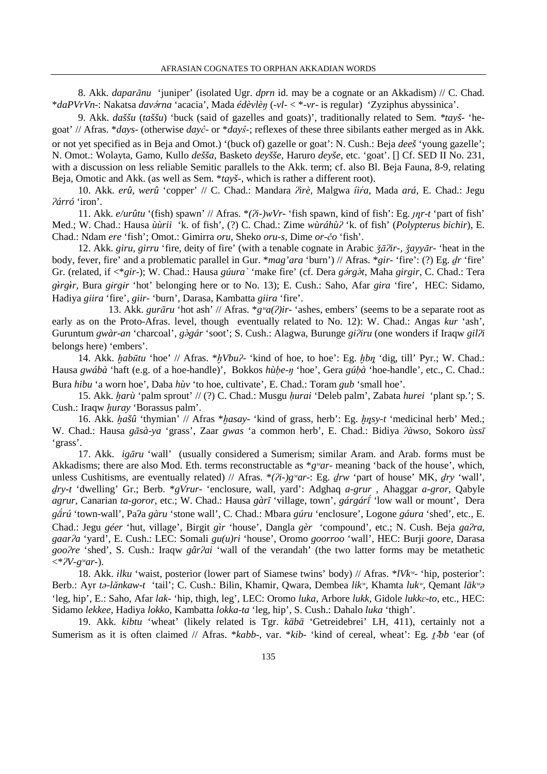8. Akk. *dapar*ā*nu* 'juniper' (isolated Ugr. *dprn* id. may be a cognate or an Akkadism) // C. Chad. \**daPVrVn*-: Nakatsa *dav*'*rna* 'acacia', Mada *édèvlè*ŋ (-*vl*- < \*-*vr*- is regular) 'Zyziphus abyssinica'.

9. Akk. *daššu* (*taššu*) 'buck (said of gazelles and goats)', traditionally related to Sem. *\*tayš-* 'hegoat' // Afras. \**days*- (otherwise *day* $\hat{c}$ - or \**day* $\hat{s}$ -; reflexes of these three sibilants eather merged as in Akk. or not yet specified as in Beja and Omot.) '(buck of) gazelle or goat': N. Cush.: Beja *deeš* 'young gazelle'; N. Omot.: Wolayta, Gamo, Kullo *dešša*, Basketo *deyšše*, Haruro *deyše*, etc. 'goat'. [] Cf. SED II No. 231, with a discussion on less reliable Semitic parallels to the Akk. term; cf. also Bl. Beja Fauna, 8-9, relating Beja, Omotic and Akk. (as well as Sem. \**tayš-*, which is rather a different root).

10. Akk. *erû, werû* 'copper' // C. Chad.: Mandara ʔ*ìrè*, Malgwa *íi*ŕ*a*, Mada *ará*, E. Chad.: Jegu ʔ*árró* 'iron'.

11. Akk.  $e/ur^2$  (fish) spawn' // Afras.  $*(\lambda i\cdot)wV^2$  ish spawn, kind of fish': Eg.  $\eta\eta\cdot t$  'part of fish' Med.; W. Chad.: Hausa *ùùrii* 'k. of fish', (?) C. Chad.: Zime *wùráhù*ʔ 'k. of fish' (*Polypterus bichir*), E. Chad.: Ndam *ere* 'fish'; Omot.: Gimirra *oru*, Sheko *oru-s*, Dime *or-*č*o* 'fish'.

12. Akk. *giru, girru* 'fire, deity of fire' (with a tenable cognate in Arabic ǯāʔ*ir-,* ǯ*ayy*ā*r-* 'heat in the body, fever, fire' and a problematic parallel in Gur. \**mag'ara* 'burn') // Afras. \**gir*- 'fire': (?) Eg. ḏ*r* 'fire' Gr. (related, if  $\langle \text{*}gir \rangle$ ; W. Chad.: Hausa *gúura* ` 'make fire' (cf. Dera *gárgàt*, Maha *girgir*, C. Chad.: Tera *g*ç*rg*ç*r*, Bura *g*ɨ*rg*ɨ*r* 'hot' belonging here or to No. 13); E. Cush.: Saho, Afar *gira* 'fire', HEC: Sidamo, Hadiya *giira* 'fire', *giir-* 'burn', Darasa, Kambatta *giira* 'fire'.

 13. Akk. *gur*ā*ru* 'hot ash' // Afras. \**g*ʷ*a(*ʔ*)ir*- 'ashes, embers' (seems to be a separate root as early as on the Proto-Afras. level, though eventually related to No. 12): W. Chad.: Angas *kur* 'ash', Guruntum *gwàr-an* 'charcoal', *gàgár* 'soot'; S. Cush.: Alagwa, Burunge *giliru* (one wonders if Iraqw *gilli* belongs here) 'embers'.

14. Akk. ḫ*ab*ū*tu* 'hoe' // Afras. \*ḫ*Vbu*ʔ- 'kind of hoe, to hoe': Eg. ḫ*b*ȵ 'dig, till' Pyr.; W. Chad.: Hausa *gwábà* 'haft (e.g. of a hoe-handle)', Bokkos *hùbe-n* 'hoe', Gera *gúbà* 'hoe-handle', etc., C. Chad.: Bura *hibu* 'a worn hoe', Daba *hùv* 'to hoe, cultivate', E. Chad.: Toram *gub* 'small hoe'.

15. Akk. ḫ*arù* 'palm sprout' // (?) C. Chad.: Musgu ḥ*urai* 'Deleb palm', Zabata *hurei* 'plant sp.'; S. Cush.: Iraqw *huray* 'Borassus palm'.

16. Akk. ḫ*ašû* 'thymian' // Afras \*ḫ*asay*- 'kind of grass, herb': Eg. ḫȵ*sy-t* 'medicinal herb' Med.; W. Chad.: Hausa *g*ā*sà-ya* 'grass', Zaar *gwas* 'a common herb', E. Chad.: Bidiya ʔ*àwso*, Sokoro *ùss*ī 'grass'.

17. Akk. *ig*ā*ru* 'wall' (usually considered a Sumerism; similar Aram. and Arab. forms must be Akkadisms; there are also Mod. Eth. terms reconstructable as  $*g^{\nu}ar$ - meaning 'back of the house', which, unless Cushitisms, are eventually related) // Afras.  $*(\lambda i-)g\$  a\lambda r : Eg.  $d\lambda r$  'part of house' MK,  $d\lambda r$  'wall', ḏ*ry-t* 'dwelling' Gr.; Berb. \**gVrur*- 'enclosure, wall, yard': Adghaq *a-grur* , Ahaggar *a-gror*, Qabyle *agrur*, Canarian *ta-goror*, etc.; W. Chad.: Hausa *gàr*ī 'village, town', *gárgár*ô 'low wall or mount', Dera *gárú* 'town-wall', Pa*ʔa gàru* 'stone wall', C. Chad.: Mbara *gúru* 'enclosure', Logone *gáura* 'shed', etc., E. Chad.: Jegu *géer* 'hut, village', Birgit *gìr* 'house', Dangla *gèr* 'compound', etc.; N. Cush. Beja *ga*ʔ*ra, gaar*ʔ*a* 'yard', E. Cush.: LEC: Somali *gu(u)ri* 'house', Oromo *goorroo* 'wall', HEC: Burji *goore*, Darasa *goo*ʔ*re* 'shed', S. Cush.: Iraqw *gâr*ʔ*ai* 'wall of the verandah' (the two latter forms may be metathetic <\*ʔ*V-g*ʷ*ar-*).

18. Akk. *ilku* 'waist, posterior (lower part of Siamese twins' body) // Afras. \**lVk*ʷ- 'hip, posterior': Berb.: Ayr *t*ə*-l*5*nkaw-t* 'tail'; C. Cush.: Bilin, Khamir, Qwara, Dembea *lik*ʷ, Khamta *luk*ʷ, Qemant *läk*ʷə 'leg, hip', E.: Saho, Afar *lak-* 'hip, thigh, leg', LEC: Oromo *luka*, Arbore *lukk,* Gidole *lukk*ɛ*-to*, etc., HEC: Sidamo *lekkee*, Hadiya *lokko*, Kambatta *lokka-ta* 'leg, hip', S. Cush.: Dahalo *luka* 'thigh'.

19. Akk. *kibtu* 'wheat' (likely related is Tgr. *käbä* 'Getreidebrei' LH, 411), certainly not a Sumerism as it is often claimed // Afras. \**kabb*-, var. \**kib*- 'kind of cereal, wheat': Eg. *t*<sub>j</sub>*bb* 'ear (of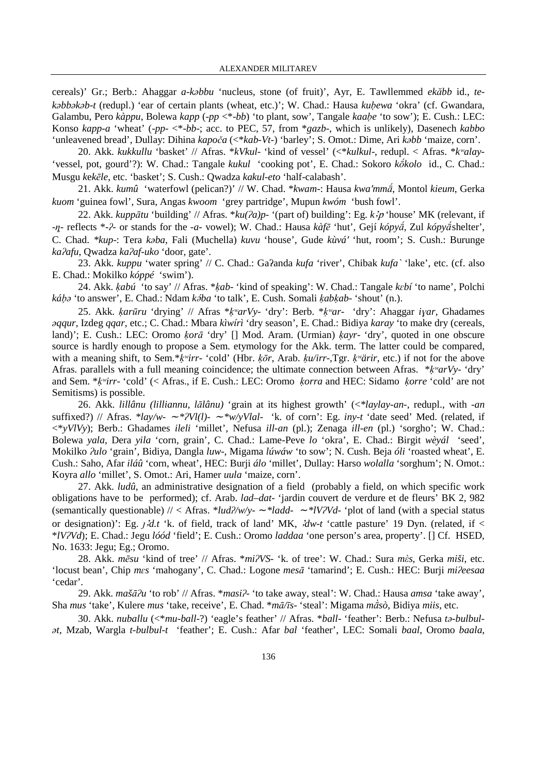cereals)' Gr.; Berb.: Ahaggar *a-k*ə*bbu* 'nucleus, stone (of fruit)', Ayr, E. Tawllemmed *ek*5*bb* id., *tek*əbbəkəb-t (redupl.) 'ear of certain plants (wheat, etc.)'; W. Chad.: Hausa *kubewa* 'okra' (cf. Gwandara, Galambu, Pero *kàppu*, Bolewa *kapp* (-*pp <\*-bb*) 'to plant, sow', Tangale *kaabe* 'to sow'); E. Cush.: LEC: Konso *kapp-a* 'wheat' (-*pp*- <\*-*bb*-; acc. to PEC, 57, from \**gazb*-, which is unlikely), Dasenech *kabbo* 'unleavened bread', Dullay: Dihina *kapo*č*a* (<\**kab-Vt*-) 'barley'; S. Omot.: Dime, Ari *k*ə*bb* 'maize, corn'.

20. Akk. *kukkullu* 'basket' // Afras. \**kVkul*- 'kind of vessel' (<\**kulkul*-, redupl. < Afras. \**k*ʷ*alay-*  'vessel, pot, gourd'?): W. Chad.: Tangale kukul 'cooking pot', E. Chad.: Sokoro kókolo id., C. Chad.: Musgu *k*e*k*ē*le*, etc. 'basket'; S. Cush.: Qwadza *kakul-eto* 'half-calabash'.

21. Akk. *kumû* 'waterfowl (pelican?)' // W. Chad. \**kwam*-: Hausa *kwa'mma*, Montol *kieum*, Gerka *kuom* 'guinea fowl', Sura, Angas *kwoom* 'grey partridge', Mupun *kwóm* 'bush fowl'.

22. Akk. *kupp*ā*tu* 'building' // Afras. \**ku(*ʔ*a)p-* '(part of) building': Eg. *k*ȵp 'house' MK (relevant, if <sup>-η</sup><sup>-</sup> reflects \*-?- or stands for the *-a-* vowel); W. Chad.: Hausa kàfē 'hut', Gejí kópya, Zul kópya shelter', C. Chad. *\*kup*-: Tera *k*ə*ba*, Fali (Muchella) *kuvu* 'house', Gude *kùvá*ʹ 'hut, room'; S. Cush.: Burunge *ka*ʔ*afu*, Qwadza *ka*ʔ*af-uko* 'door, gate'.

23. Akk. *kuppu* 'water spring' // C. Chad.: Gaʔanda *kufa* 'river', Chibak *kufa*ˋ 'lake', etc. (cf. also E. Chad.: Mokilko *kóppé* 'swim').

24. Akk. ḳ*abú* 'to say' // Afras. \*ḳ*ab*- 'kind of speaking': W. Chad.: Tangale *k*ɛ*bí* 'to name', Polchi *ká*ḅə 'to answer', E. Chad.: Ndam *k*'*ba* 'to talk', E. Cush. Somali ḳ*ab*ḳ*ab*- 'shout' (n.).

25. Akk. ḳ*ar*ū*ru* 'drying' // Afras \*ḳʷ*arVy*- 'dry': Berb. \*ḳʷ*ar*- 'dry': Ahaggar *i*ɣ*ar*, Ghadames ə*qqur*, Izdeg *qqar*, etc.; C. Chad.: Mbara *kìwírì* 'dry season', E. Chad.: Bidiya *karay* 'to make dry (cereals, land)'; E. Cush.: LEC: Oromo ḳ*or*ā 'dry' [] Mod. Aram. (Urmian) ḳ*ayr*- 'dry', quoted in one obscure source is hardly enough to propose a Sem. etymology for the Akk. term. The latter could be compared, with a meaning shift, to Sem.\**k<sup>w</sup>irr*- 'cold' (Hbr. *kor*, Arab. ku/irr-,Tgr. kwairr, etc.) if not for the above Afras. parallels with a full meaning coincidence; the ultimate connection between Afras. \* $k^{\nu}arV$ y- 'dry' and Sem. \*ḳʷ*irr*- 'cold' (< Afras., if E. Cush.: LEC: Oromo ḳ*orra* and HEC: Sidamo ḳ*orre* 'cold' are not Semitisms) is possible.

26. Akk. *lillânu (lilliannu, l*ā*lânu)* 'grain at its highest growth' (<*\*laylay-an-*, redupl., with *-an*  suffixed?) // Afras. *\*lay/w-* ∼ *\**ʔ*Vl(l)-* ∼ *\*w/yVlal-* 'k. of corn': Eg. *iny-t* 'date seed' Med. (related, if <\**yVlVy*); Berb.: Ghadames *ileli* 'millet', Nefusa *ill-an* (pl.); Zenaga *ill-en* (pl.) 'sorgho'; W. Chad.: Bolewa *yala*, Dera *yila* 'corn, grain', C. Chad.: Lame-Peve *lo* 'okra', E. Chad.: Birgit *wèyál* 'seed', Mokilko ʔ*ulo* 'grain', Bidiya, Dangla *luw*-, Migama *lúwáw* 'to sow'; N. Cush. Beja *óli* 'roasted wheat', E. Cush.: Saho, Afar *iláû* 'corn, wheat', HEC: Burji *álo* 'millet', Dullay: Harso *wolalla* 'sorghum'; N. Omot.: Koyra *allo* 'millet', S. Omot.: Ari, Hamer *uula* 'maize, corn'.

27. Akk. *ludû*, an administrative designation of a field (probably a field, on which specific work obligations have to be performed); cf. Arab. *lad–dat-* 'jardin couvert de verdure et de fleurs' BK 2, 982 (semantically questionable) // < Afras. \**lud*ʔ*/w/y*- ∼ *\*ladd-* ∼ *\*lV*ʔ*Vd-* 'plot of land (with a special status or designation)': Eg. j.*d.t* 'k. of field, track of land' MK, .*dw-t* 'cattle pasture' 19 Dyn. (related, if < \**lV*ʔ*Vd*); E. Chad.: Jegu *lóód* 'field'; E. Cush.: Oromo *laddaa* 'one person's area, property'. [] Cf. HSED, No. 1633: Jegu; Eg.; Oromo.

28. Akk. *m*ē*su* 'kind of tree' // Afras. \**mi*ʔ*VS-* 'k. of tree': W. Chad.: Sura *m*ὲ*s*, Gerka *miši*, etc. 'locust bean', Chip *m*ɛ*s* 'mahogany', C. Chad.: Logone *mes*ā 'tamarind'; E. Cush.: HEC: Burji *mi*ʔ*eesaa* 'cedar'.

29. Akk. *maš*āʔ*u* 'to rob' // Afras. \**masi*ʔ- 'to take away, steal': W. Chad.: Hausa *amsa* 'take away', Sha *mus* 'take', Kulere *mus* 'take, receive', E. Chad. \**m*ā*/*ī*s*- 'steal': Migama *m*Y*sò*, Bidiya *miis*, etc.

30. Akk. *nuballu* (<\**mu-ball*-?) 'eagle's feather' // Afras. \**ball*- 'feather': Berb.: Nefusa *t*ə*-bulbul*ə*t*, Mzab, Wargla *t-bulbul-t* 'feather'; E. Cush.: Afar *bal* 'feather', LEC: Somali *baal*, Oromo *baala*,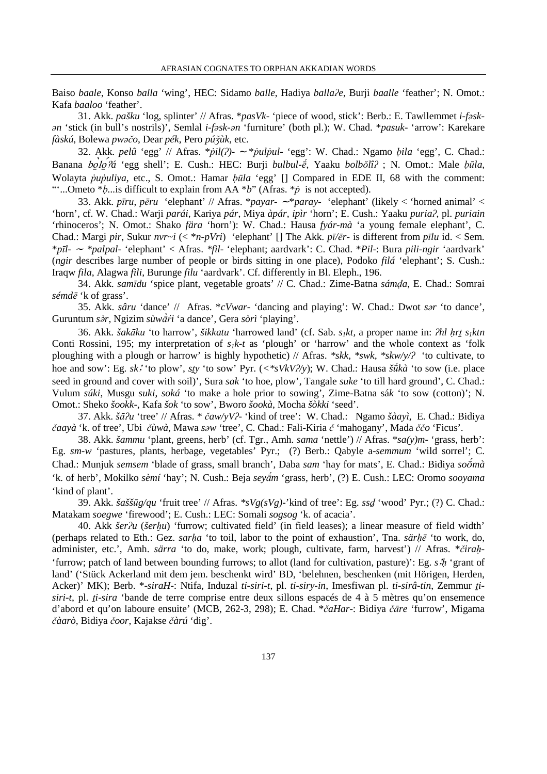Baiso *baale*, Konso *balla* 'wing', HEC: Sidamo *balle*, Hadiya *balla*ʔ*e*, Burji *baalle* 'feather'; N. Omot.: Kafa *baaloo* 'feather'.

31. Akk. *pašku* 'log, splinter' // Afras. \**pasVk-* 'piece of wood, stick': Berb.: E. Tawllemmet *i-f*ə*sk*ə*n* 'stick (in bull's nostrils)', Semlal *i-f*ə*sk-*ə*n* 'furniture' (both pl.); W. Chad. \**pasuk*- 'arrow': Karekare *fàskú*, Bolewa *pw*əč*o*, Dear *pék*, Pero *pú*ǯ*ùk*, etc.

32. Akk. *pelû* 'egg' // Afras. \*ṗ*il(*ʔ*)*- ∼ \*ṗ*ul*ṗ*ul*- 'egg': W. Chad.: Ngamo ḅ*ila* 'egg', C. Chad.: Banana bolo<sup>7</sup>á 'egg shell'; E. Cush.: HEC: Burji *bulbul-é*, Yaaku *bolbolî?*; N. Omot.: Male *būla*, Wolayta *pupuliya*, etc., S. Omot.: Hamar *būla* 'egg' [] Compared in EDE II, 68 with the comment: "...Ometo \* $\dot{p}$ ...is difficult to explain from AA \**b*" (Afras. \**p* is not accepted).

33. Akk. *p*ī*ru*, *p*ē*ru* 'elephant' // Afras. \**payar-* <sup>∼</sup> \**paray-* 'elephant' (likely < 'horned animal' < 'horn'*,* cf. W. Chad.: Warji *parái*, Kariya *pár*, Miya *àpár, ipìr* 'horn'; E. Cush.: Yaaku *puria*ʔ, pl. *puriain* 'rhinoceros'; N. Omot.: Shako *fära* 'horn'): W. Chad.: Hausa *fyár-mà* 'a young female elephant', C. Chad.: Margi *pir*, Sukur *nvr~i* (< \**n-pVri*) 'elephant' [] The Akk. *p*ī*/*ē*r-* is different from *p*ī*lu* id. < Sem. \**p*ī*l-* ∼ *\*palpal-* 'elephant' < Afras. *\*fil*- 'elephant; aardvark': C. Chad. \**Pil-*: Bura *pili-ngir* 'aardvark' (*ngir* describes large number of people or birds sitting in one place)*,* Podoko *filá* 'elephant'; S. Cush.: Iraqw *fila*, Alagwa *fili*, Burunge *filu* 'aardvark'. Cf. differently in Bl. Eleph., 196.

34. Akk. *sam*ī*du* 'spice plant, vegetable groats' // C. Chad.: Zime-Batna *sám*ḍ*a*, E. Chad.: Somrai *sémd*ē 'k of grass'.

35. Akk. *sâru* 'dance' // Afras. \**cVwar-* 'dancing and playing': W. Chad.: Dwot *s*ə*r* 'to dance', Guruntum *s*àr, Ngizim *sùwàr*<sup>*i*</sup> 'a dance', Gera *sòrì* 'playing'.

36. Akk. *šak*ā*ku* 'to harrow', *šikkatu* 'harrowed land' (cf. Sab. *s1kt,* a proper name in: ʔ*hl* ḥ*r*ṯ *s1ktn*  Conti Rossini, 195; my interpretation of *s1k-t* as 'plough' or 'harrow' and the whole context as 'folk ploughing with a plough or harrow' is highly hypothetic) // Afras. *\*skk, \*swk, \*skw/y/*ʔ 'to cultivate, to hoe and sow': Eg. *sk*<sup>ȵ</sup> 'to plow', *s*ṯ*y* 'to sow' Pyr. (*<\*sVkV*ʔ*/y*); W. Chad.: Hausa *škà* 'to sow (i.e. place seed in ground and cover with soil)', Sura *sak* 'to hoe, plow', Tangale *suke* 'to till hard ground', C. Chad.: Vulum *súki*, Musgu *suki*, *soká* 'to make a hole prior to sowing', Zime-Batna sá*k* 'to sow (cotton)'; N. Omot.: Sheko *šookk-*, Kafa *šok* 'to sow', Bworo *šookà*, Mocha *šòkki* 'seed'.

37. Akk. *š*āʔ*u* 'tree' // Afras. \* č*aw/yV*ʔ*-* 'kind of tree': W. Chad.: Ngamo *šàayì*, E. Chad.: Bidiya č*aayà* 'k. of tree', Ubi č*ùwà*, Mawa *s*ə*w* 'tree', C. Chad.: Fali-Kiria č 'mahogany', Mada čč*o* 'Ficus'*.* 

38. Akk. *šammu* 'plant, greens, herb' (cf. Tgr., Amh. *sama* 'nettle') // Afras. \**sa(y)m*- 'grass, herb': Eg. *sm-w* 'pastures, plants, herbage, vegetables' Pyr.; (?) Berb.: Qabyle a-*semmum* 'wild sorrel'; C. Chad.: Munjuk *semsem* 'blade of grass, small branch', Daba *sam* 'hay for mats', E. Chad.: Bidiya *soomà* 'k. of herb', Mokilko *sèmí* 'hay'; N. Cush.: Beja *seyam* 'grass, herb', (?) E. Cush.: LEC: Oromo *sooyama* 'kind of plant'.

39. Akk. *šašš*ū*g/qu* 'fruit tree' // Afras. *\*sVg(sVg)-*'kind of tree': Eg. *ss*ḏ 'wood' Pyr.; (?) C. Chad.: Matakam *soegwe* 'firewood'; E. Cush.: LEC: Somali *sogsog* 'k. of acacia'.

40. Akk *šer*ʔ*u* (*šer*ḫ*u*) 'furrow; cultivated field' (in field leases); a linear measure of field width' (perhaps related to Eth.: Gez. *sar*ḥ*a* 'to toil, labor to the point of exhaustion', Tna. *sär*ḥē 'to work, do, administer, etc.', Amh. *särra* 'to do, make, work; plough, cultivate, farm, harvest') // Afras. \*č*ira*ḥ*-* 'furrow; patch of land between bounding furrows; to allot (land for cultivation, pasture)': Eg. *sh* 'grant of land' ('Stück Ackerland mit dem jem. beschenkt wird' BD, 'belehnen, beschenken (mit Hörigen, Herden, Acker)' MK); Berb. \*-*siraH*-: Ntifa, Induzal *ti-siri-t*, pl. *ti-siry-in*, Imesfiwan pl. *ti-sirâ-tin*, Zemmur ṯ*isiri-t*, pl. ṯ*i-sira* 'bande de terre comprise entre deux sillons espacés de 4 à 5 mètres qu'on ensemence d'abord et qu'on laboure ensuite' (MCB, 262-3, 298); E. Chad. \*č*aHar*-: Bidiya čā*re* 'furrow', Migama č*àarò*, Bidiya č*oor*, Kajakse č*àrú* 'dig'.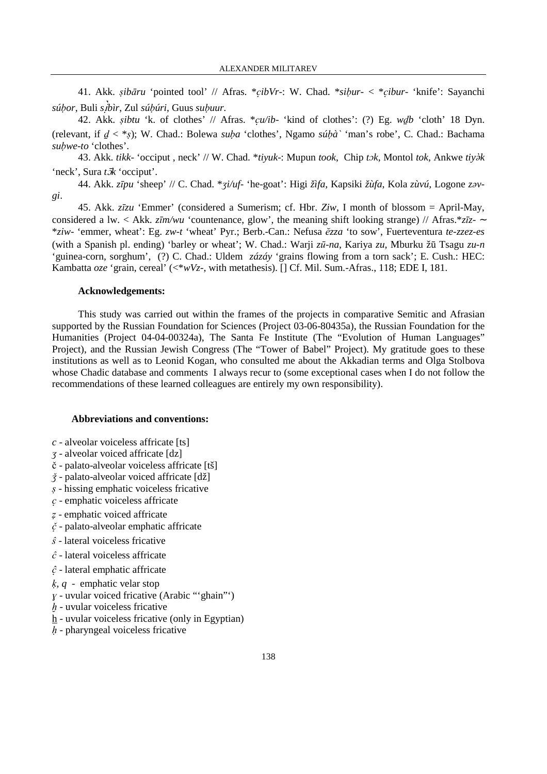41. Akk. sibāru 'pointed tool' // Afras. \*cibVr-: W. Chad. \*sibur- < \*cibur- 'knife': Sayanchi *sú*ḅ*or*, Buli *s*i*bìr*, Zul *sú*ḅ*úri*, Guus *su*ḅ*uur.* 

42. Akk. sibtu 'k. of clothes' // Afras.  $*cu/b$ - 'kind of clothes': (?) Eg. wdb 'cloth' 18 Dyn. (relevant, if  $d < *_{s}$ ); W. Chad.: Bolewa *suba* 'clothes', Ngamo *súbà*' 'man's robe', C. Chad.: Bachama subwe-to 'clothes'.

43. Akk. *tikk*- 'occiput, neck' // W. Chad. \**tiyuk*-: Mupun *took*, Chip *t* $\sigma$ *k*, Montol *tok*, Ankwe *tiy* $\partial$ *k* 'neck', Sura *tk* 'occiput'.

44. Akk. *z*ī*pu* 'sheep' // C. Chad. \*ʒ*i/uf-* 'he-goat': Higi *žìfa*, Kapsiki *žùfa*, Kola *zùvú,* Logone *z*ə*vgi*.

45. Akk. *z*ī*zu* 'Emmer' (considered a Sumerism; cf. Hbr. *Ziw*, I month of blossom = April-May, considered a lw. < Akk. *z*ī*m/wu* 'countenance, glow', the meaning shift looking strange) // Afras.\**z*ī*z*- ∼ \**ziw*- 'emmer, wheat': Eg. *zw-t* 'wheat' Pyr.; Berb.-Can.: Nefusa v*zza* 'to sow', Fuerteventura *te-zzez-es* (with a Spanish pl. ending) 'barley or wheat'; W. Chad.: Warji *z*ū*-na*, Kariya *zu*, Mburku žū Tsagu *zu-n* 'guinea-corn*,* sorghum',(?) C. Chad.: Uldem *zázáy* 'grains flowing from a torn sack'; E. Cush.: HEC: Kambatta *oze* 'grain, cereal' (<\**wVz-*, with metathesis). [] Cf. Mil. Sum.-Afras., 118; EDE I, 181.

#### **Acknowledgements:**

This study was carried out within the frames of the projects in comparative Semitic and Afrasian supported by the Russian Foundation for Sciences (Project 03-06-80435a), the Russian Foundation for the Humanities (Project 04-04-00324a), The Santa Fe Institute (The "Evolution of Human Languages" Project), and the Russian Jewish Congress (The "Tower of Babel" Project). My gratitude goes to these institutions as well as to Leonid Kogan, who consulted me about the Akkadian terms and Olga Stolbova whose Chadic database and comments I always recur to (some exceptional cases when I do not follow the recommendations of these learned colleagues are entirely my own responsibility).

#### **Abbreviations and conventions:**

- *c* alveolar voiceless affricate [ts]
- ʒ alveolar voiced affricate [dz]
- č palato-alveolar voiceless affricate [tš]
- ǯ palato-alveolar voiced affricate [dž]
- s hissing emphatic voiceless fricative
- $c$  emphatic voiceless affricate
- ẓ emphatic voiced affricate
- $\check{c}$  palato-alveolar emphatic affricate
- $\hat{s}$  lateral voiceless fricative
- $\hat{c}$  lateral voiceless affricate
- $\hat{c}$  lateral emphatic affricate
- ḳ*, q* emphatic velar stop
- $y$  uvular voiced fricative (Arabic "'ghain"')
- $h$  uvular voiceless fricative
- h uvular voiceless fricative (only in Egyptian)
- $h$  pharyngeal voiceless fricative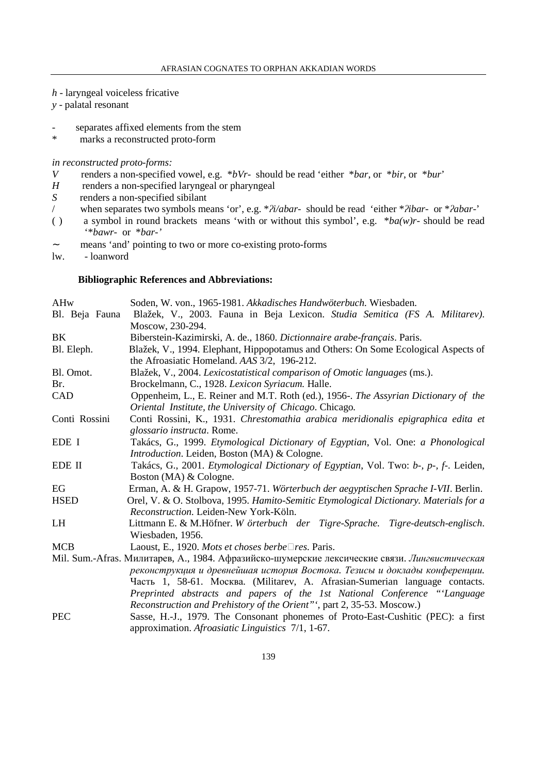- *h* laryngeal voiceless fricative
- *y* palatal resonant
- *-* separates affixed elements from the stem
- marks a reconstructed proto-form

*in reconstructed proto-forms:* 

- *V* renders a non-specified vowel, e.g. \**bVr* should be read 'either \**bar*, or \**bir*, or \**bur*'
- *H* renders a non-specified laryngeal or pharyngeal
- *S* renders a non-specified sibilant
- / when separates two symbols means 'or', e.g. \*ʔ*i/abar-* should be read 'either \*ʔ*ibar-* or \*ʔ*abar*-'
- a symbol in round brackets means 'with or without this symbol', e.g.  $*ba(w)r$  should be read '\**bawr-* or \**bar-'*
- ∼ means 'and' pointing to two or more co-existing proto-forms
- lw. loanword

## **Bibliographic References and Abbreviations:**

| AHw            | Soden, W. von., 1965-1981. Akkadisches Handwöterbuch. Wiesbaden.                                                                  |
|----------------|-----------------------------------------------------------------------------------------------------------------------------------|
| Bl. Beja Fauna | Blažek, V., 2003. Fauna in Beja Lexicon. Studia Semitica (FS A. Militarev).                                                       |
|                | Moscow, 230-294.                                                                                                                  |
| BK             | Biberstein-Kazimirski, A. de., 1860. Dictionnaire arabe-français. Paris.                                                          |
| Bl. Eleph.     | Blažek, V., 1994. Elephant, Hippopotamus and Others: On Some Ecological Aspects of<br>the Afroasiatic Homeland. AAS 3/2, 196-212. |
| Bl. Omot.      | Blažek, V., 2004. Lexicostatistical comparison of Omotic languages (ms.).                                                         |
| Br.            | Brockelmann, C., 1928. Lexicon Syriacum. Halle.                                                                                   |
| CAD            | Oppenheim, L., E. Reiner and M.T. Roth (ed.), 1956-. The Assyrian Dictionary of the                                               |
|                | Oriental Institute, the University of Chicago. Chicago.                                                                           |
| Conti Rossini  | Conti Rossini, K., 1931. Chrestomathia arabica meridionalis epigraphica edita et                                                  |
|                | glossario instructa. Rome.                                                                                                        |
| EDE I          | Takács, G., 1999. Etymological Dictionary of Egyptian, Vol. One: a Phonological                                                   |
|                | <i>Introduction.</i> Leiden, Boston (MA) & Cologne.                                                                               |
| EDE II         | Takács, G., 2001. <i>Etymological Dictionary of Egyptian</i> , Vol. Two: b-, p-, f-. Leiden,                                      |
|                | Boston (MA) & Cologne.                                                                                                            |
| EG             | Erman, A. & H. Grapow, 1957-71. Wörterbuch der aegyptischen Sprache I-VII. Berlin.                                                |
| <b>HSED</b>    | Orel, V. & O. Stolbova, 1995. Hamito-Semitic Etymological Dictionary. Materials for a                                             |
|                | Reconstruction. Leiden-New York-Köln.                                                                                             |
| LH             | Littmann E. & M.Höfner. W örterbuch der Tigre-Sprache. Tigre-deutsch-englisch.                                                    |
|                | Wiesbaden, 1956.                                                                                                                  |
| <b>MCB</b>     | Laoust, E., 1920. Mots et choses berbe $\square$ res. Paris.                                                                      |
|                | Mil. Sum.-Afras. Милитарев, А., 1984. Афразийско-шумерские лексические связи. Лингвистическая                                     |
|                | реконструкция и древнейшая история Востока. Тезисы и доклады конференции.                                                         |
|                | Часть 1, 58-61. Москва. (Militarev, A. Afrasian-Sumerian language contacts.                                                       |
|                | Preprinted abstracts and papers of the 1st National Conference "Language                                                          |
|                | Reconstruction and Prehistory of the Orient"', part 2, 35-53. Moscow.)                                                            |
| <b>PEC</b>     | Sasse, H.-J., 1979. The Consonant phonemes of Proto-East-Cushitic (PEC): a first                                                  |

approximation. *Afroasiatic Linguistics* 7/1, 1-67.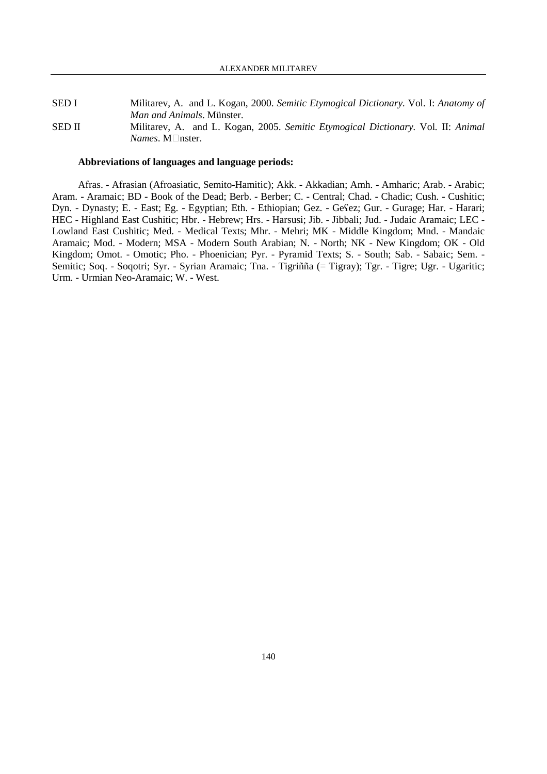#### SED I Militarev, A. and L. Kogan, 2000. *Semitic Etymogical Dictionary.* Vol*.* I: *Anatomy of Man and Animals*. Münster. SED II Militarev, A. and L. Kogan, 2005. *Semitic Etymogical Dictionary.* Vol*.* II: *Animal Names*. M□nster.

#### **Abbreviations of languages and language periods:**

Afras. - Afrasian (Afroasiatic, Semito-Hamitic); Akk. - Akkadian; Amh. - Amharic; Arab. - Arabic; Aram. - Aramaic; BD - Book of the Dead; Berb. - Berber; C. - Central; Chad. - Chadic; Cush. - Cushitic; Dyn. - Dynasty; E. - East; Eg. - Egyptian; Eth. - Ethiopian; Gez. - Geʕez; Gur. - Gurage; Har. - Harari; HEC - Highland East Cushitic; Hbr. - Hebrew; Hrs. - Harsusi; Jib. - Jibbali; Jud. - Judaic Aramaic; LEC - Lowland East Cushitic; Med. - Medical Texts; Mhr. - Mehri; MK - Middle Kingdom; Mnd. - Mandaic Aramaic; Mod. - Modern; MSA - Modern South Arabian; N. - North; NK - New Kingdom; OK - Old Kingdom; Omot. - Omotic; Pho. - Phoenician; Pyr. - Pyramid Texts; S. - South; Sab. - Sabaic; Sem. - Semitic; Soq. - Soqotri; Syr. - Syrian Aramaic; Tna. - Tigriñña (= Tigray); Tgr. - Tigre; Ugr. - Ugaritic; Urm. - Urmian Neo-Aramaic; W. - West.